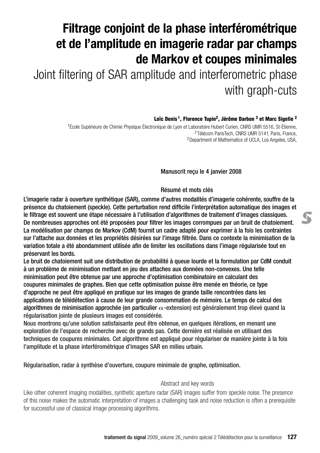# **Filtrage conjoint de la phase interférométrique et de l'amplitude en imagerie radar par champs de Markov et coupes minimales**

Joint filtering of SAR amplitude and interferometric phase with graph-cuts

**Loïc Denis 1, Florence Tupin2, Jérôme Darbon 3 et Marc Sigelle <sup>2</sup>**

<sup>1</sup>École Supérieure de Chimie Physique Électronique de Lyon et Laboratoire Hubert Curien, CNRS UMR 5516, St-Étienne, <sup>2</sup> Télécom ParisTech, CNRS UMR 5141, Paris, France, 3Department of Mathematics of UCLA, Los Angeles, USA,

Manuscrit reçu le 4 janvier 2008

### Résumé et mots clés

L'imagerie radar à ouverture synthétique (SAR), comme d'autres modalités d'imagerie cohérente, souffre de la présence du chatoiement (speckle). Cette perturbation rend difficile l'interprétation automatique des images et le filtrage est souvent une étape nécessaire à l'utilisation d'algorithmes de traitement d'images classiques. De nombreuses approches ont été proposées pour filtrer les images corrompues par un bruit de chatoiement. La modélisation par champs de Markov (CdM) fournit un cadre adapté pour exprimer à la fois les contraintes sur l'attache aux données et les propriétés désirées sur l'image filtrée. Dans ce contexte la minimisation de la variation totale a été abondamment utilisée afin de limiter les oscillations dans l'image régularisée tout en préservant les bords.

Le bruit de chatoiement suit une distribution de probabilité à queue lourde et la formulation par CdM conduit à un problème de minimisation mettant en jeu des attaches aux données non-convexes. Une telle minimisation peut être obtenue par une approche d'optimisation combinatoire en calculant des coupures minimales de graphes. Bien que cette optimisation puisse être menée en théorie, ce type d'approche ne peut être appliqué en pratique sur les images de grande taille rencontrées dans les applications de télédétection à cause de leur grande consommation de mémoire. Le temps de calcul des algorithmes de minimisation approchée (en particulier *α*-extension) est généralement trop élevé quand la régularisation jointe de plusieurs images est considérée.

Nous montrons qu'une solution satisfaisante peut être obtenue, en quelques itérations, en menant une exploration de l'espace de recherche avec de grands pas. Cette dernière est réalisée en utilisant des techniques de coupures minimales. Cet algorithme est appliqué pour régulariser de manière jointe à la fois l'amplitude et la phase interférométrique d'images SAR en milieu urbain.

Régularisation, radar à synthèse d'ouverture, coupure minimale de graphe, optimisation.

### Abstract and key words

Like other coherent imaging modalities, synthetic aperture radar (SAR) images suffer from speckle noise. The presence of this noise makes the automatic interpretation of images a challenging task and noise reduction is often a prerequisite for successful use of classical image processing algorithms.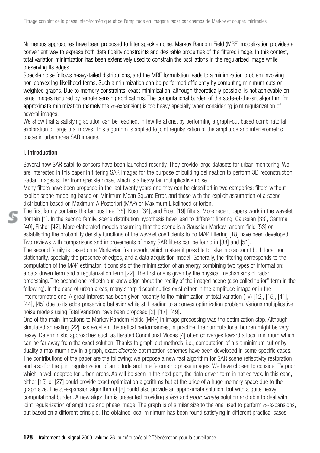Numerous approaches have been proposed to filter speckle noise. Markov Random Field (MRF) modelization provides a convenient way to express both data fidelity constraints and desirable properties of the filtered image. In this context, total variation minimization has been extensively used to constrain the oscillations in the regularized image while preserving its edges.

Speckle noise follows heavy-tailed distributions, and the MRF formulation leads to a minimization problem involving non-convex log-likelihood terms. Such a minimization can be performed efficiently by computing minimum cuts on weighted graphs. Due to memory constraints, exact minimization, although theoretically possible, is not achievable on large images required by remote sensing applications. The computational burden of the state-of-the-art algorithm for approximate minimization (namely the *α*-expansion) is too heavy specially when considering joint regularization of several images.

We show that a satisfying solution can be reached, in few iterations, by performing a graph-cut based combinatorial exploration of large trial moves. This algorithm is applied to joint regularization of the amplitude and interferometric phase in urban area SAR images.

## I. Introduction

Several new SAR satellite sensors have been launched recently. They provide large datasets for urban monitoring. We are interested in this paper in filtering SAR images for the purpose of building delineation to perform 3D reconstruction. Radar images suffer from speckle noise, which is a heavy tail multiplicative noise.

Many filters have been proposed in the last twenty years and they can be classified in two categories: filters without explicit scene modeling based on Minimum Mean Square Error, and those with the explicit assumption of a scene distribution based on Maximum A Posteriori (MAP) or Maximum Likelihood criterion.

The first family contains the famous Lee [35], Kuan [34], and Frost [19] filters. More recent papers work in the wavelet domain [1]. In the second family, scene distribution hypothesis have lead to different filtering: Gaussian [33], Gamma [40], Fisher [42]. More elaborated models assuming that the scene is a Gaussian Markov random field [53] or establishing the probability density functions of the wavelet coefficients to do MAP filtering [18] have been developed. Two reviews with comparisons and improvements of many SAR filters can be found in [38] and [51]. The second family is based on a Markovian framework, which makes it possible to take into account both local non stationarity, specially the presence of edges, and a data acquisition model. Generally, the filtering corresponds to the computation of the MAP estimator. It consists of the minimization of an energy combining two types of information: a data driven term and a regularization term [22]. The first one is given by the physical mechanisms of radar processing. The second one reflects our knowledge about the reality of the imaged scene (also called "prior'' term in the following). In the case of urban areas, many sharp discontinuities exist either in the amplitude image or in the interferometric one. A great interest has been given recently to the minimization of total variation (TV) [12], [15], [41], [44], [45] due to its edge preserving behavior while still leading to a convex optimization problem. Various multiplicative noise models using Total Variation have been proposed [2], [17], [49].

One of the main limitations to Markov Random Fields (MRF) in image processing was the optimization step. Although simulated annealing [22] has excellent theoretical performances, in practice, the computational burden might be very heavy. Deterministic approaches such as Iterated Conditional Modes [4] often converges toward a local minimum which can be far away from the exact solution. Thanks to graph-cut methods, i.e., computation of a s-t minimum cut or by duality a maximum flow in a graph, exact *discrete* optimization schemes have been developed in some specific cases. The contributions of the paper are the following: we propose a new fast algorithm for SAR scene reflectivity restoration and also for the joint regularization of amplitude and interferometric phase images. We have chosen to consider TV prior which is well adapted for urban areas. As will be seen in the next part, the data driven term is not convex. In this case, either [16] or [27] could provide exact optimization algorithms but at the price of a huge memory space due to the graph size. The *α*-expansion algorithm of [8] could also provide an approximate solution, but with a quite heavy computational burden. A new algorithm is presented providing a *fast* and *approximate* solution and able to deal with ioint regularization of amplitude and phase image. The graph is of similar size to the one used to perform  $\alpha$ -expansions, but based on a different principle. The obtained local minimum has been found satisfying in different practical cases.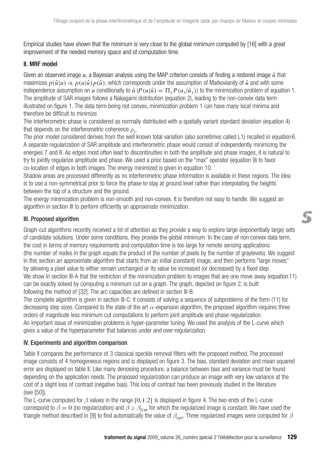Empirical studies have shown that the minimum is very close to the global minimum computed by [16] with a great improvement of the needed memory space and of computation time.

## II. MRF model

Given an observed image  $u$ , a Bayesian analysis using the MAP criterion consists of finding a restored image  $\hat{u}$  that maximizes  $p(\hat{u}|u) \propto p(u|\hat{u})p(\hat{u})$ , which corresponds under the assumption of Markovianity of  $\hat{u}$  and with some independence assumption on *u* conditionally to  $\hat{u}$  ( $P(u|\hat{u}) = \prod_{s} P(u_s|\hat{u}_s)$ ) to the minimization problem of equation 1. The amplitude of SAR images follows a Nakagami distribution (equation 2), leading to the non-convex data term illustrated on figure 1. The data term being not convex, minimization problem 1 can have many local minima and therefore be difficult to minimize.

The interferometric phase is considered as normally distributed with a spatially variant standard deviation (equation 4) that depends on the interferometric coherence *ρs*.

The prior model considered derives from the well known total variation (also sometimes called L1) recalled in equation6. A separate regularization of SAR amplitude and interferometric phase would consist of independently minimizing the energies 7 and 8. As edges most often lead to discontinuities in both the amplitude and phase images, it is natural to try to jointly regularize amplitude and phase. We used a prior based on the "max'' operator (equation 9) to favor co-location of edges in both images. The energy minimized is given in equation 10.

Shadow areas are processed differently as no interferometric phase information is available in these regions. The idea is to use a non-symmetrical prior to force the phase to stay at ground level rather than interpolating the heights between the top of a structure and the ground.

The energy minimization problem is non-smooth and non-convex. It is therefore not easy to handle. We suggest an algorithm in section III to perform efficiently an approximate minimization.

## III. Proposed algorithm

Graph-cut algorithms recently received a lot of attention as they provide a way to explore large (exponentially large) sets of candidate solutions. Under some conditions, they provide the global minimum. In the case of non convex data term, the cost in terms of memory requirements and computation time is too large for remote sensing applications (the number of nodes in the graph equals the product of the number of pixels by the number of graylevels). We suggest in this section an approximate algorithm that starts from an initial (constant) image, and then performs "large moves'' by allowing a pixel value to either remain unchanged or its value be increased (or decreased) by a fixed step. We show in section III-A that the restriction of the minimization problem to images that are one move away (equation 11) can be exactly solved by computing a minimum cut on a graph. The graph, depicted on figure 2, is built following the method of [32]. The arc capacities are defined in section III-B.

The complete algorithm is given in section III-C: it consists of solving a sequence of subproblems of the form (11) for decreasing step sizes. Compared to the state of the art *α*-expansion algorithm, the proposed algorithm requires three orders of magnitude less minimum cut computations to perform joint amplitude and phase regularization. An important issue of minimization problems is hyper-parameter tuning. We used the analysis of the L-curve which gives a value of the hyperparameter that balances under and over-regularization.

## IV. Experiments and algorithm comparison

Table II compares the performance of 3 classical speckle removal filters with the proposed method. The processed image consists of 4 homogeneous regions and is displayed on figure 3. The bias, standard deviation and mean squared error are displayed on table II. Like many denoising procedure, a balance between bias and variance must be found depending on the application needs. The proposed regularization can produce an image with very low variance at the cost of a slight loss of contrast (negative bias). This loss of contrast has been previously studied in the literature (see [50]).

The L-curve computed for *β* values in the range [0,1.2] is displayed in figure 4. The two ends of the L-curve correspond to  $\beta = 0$  (no regularization) and  $\beta \ge \beta_{lim}$  for which the regularized image is constant. We have used the triangle method described in [9] to find automatically the value of *βopt*. Three regularized images were computed for *β*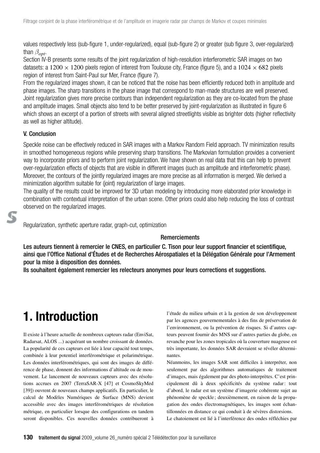values respectively less (sub-figure 1, under-regularized), equal (sub-figure 2) or greater (sub figure 3, over-regularized) than *βopt*.

Section IV-B presents some results of the joint regularization of high-resolution interferometric SAR images on two datasets: a 1200  $\times$  1200 pixels region of interest from Toulouse city, France (figure 5), and a 1024  $\times$  682 pixels region of interest from Saint-Paul sur Mer, France (figure 7).

From the regularized images shown, it can be noticed that the noise has been efficiently reduced both in amplitude and phase images. The sharp transitions in the phase image that correspond to man-made structures are well preserved. Joint regularization gives more precise contours than independent regularization as they are co-located from the phase and amplitude images. Small objects also tend to be better preserved by joint-regularization as illustrated in figure 6 which shows an excerpt of a portion of streets with several aligned streetlights visible as brighter dots (higher reflectivity as well as higher altitude).

## V. Conclusion

Speckle noise can be effectively reduced in SAR images with a Markov Random Field approach. TV minimization results in smoothed homogeneous regions while preserving sharp transitions. The Markovian formulation provides a convenient way to incorporate priors and to perform joint regularization. We have shown on real data that this can help to prevent over-regularization effects of objects that are visible in different images (such as amplitude and interferometric phase). Moreover, the contours of the jointly regularized images are more precise as all information is merged. We derived a minimization algorithm suitable for (joint) regularization of large images.

The quality of the results could be improved for 3D urban modeling by introducing more elaborated prior knowledge in combination with contextual interpretation of the urban scene. Other priors could also help reducing the loss of contrast observed on the regularized images.

### Regularization, synthetic aperture radar, graph-cut, optimization

### **Remerciements**

Les auteurs tiennent à remercier le CNES, en particulier C. Tison pour leur support financier et scientifique, ainsi que l'Office National d'Études et de Recherches Aérospatiales et la Délégation Générale pour l'Armement pour la mise à disposition des données.

Ils souhaitent également remercier les relecteurs anonymes pour leurs corrections et suggestions.

## **1. Introduction**

Il existe à l'heure actuelle de nombreux capteurs radar (EnviSat, Radarsat, ALOS ...) acquérant un nombre croissant de données. La popularité de ces capteurs est liée à leur capacité tout temps, combinée à leur potentiel interférométrique et polarimétrique. Les données interférométriques, qui sont des images de différence de phase, donnent des informations d'altitude ou de mouvement. Le lancement de nouveaux capteurs avec des résolutions accrues en 2007 (TerraSAR-X [47] et CosmoSkyMed [39]) ouvrent de nouveaux champs applicatifs. En particulier, le calcul de Modèles Numériques de Surface (MNS) devient accessible avec des images interférométriques de résolution métrique, en particulier lorsque des configurations en tandem seront disponibles. Ces nouvelles données contribueront à l'étude du milieu urbain et à la gestion de son développement par les agences gouvernementales à des fins de préservation de l'environnement, ou la prévention de risques. Si d'autres capteurs peuvent fournir des MNS sur d'autres parties du globe, en revanche pour les zones tropicales où la couverture nuageuse est très importante, les données SAR devraient se révéler déterminantes.

Néanmoins, les images SAR sont difficiles à interpréter, non seulement par des algorithmes automatiques de traitement d'images, mais également par des photo-interprètes. C'est principalement dû à deux spécificités du système radar : tout d'abord, le radar est un système d'imagerie cohérente sujet au phénomène de speckle ; deuxièmement, en raison de la propagation des ondes électromagnétiques, les images sont échantillonnées en distance ce qui conduit à de sévères distorsions.

Le chatoiement est lié à l'interférence des ondes réfléchies par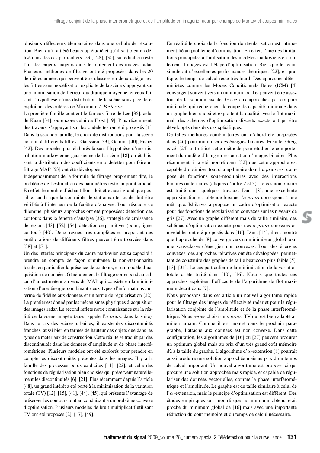plusieurs réflecteurs élémentaires dans une cellule de résolution. Bien qu'il ait été beaucoup étudié et qu'il soit bien modélisé dans des cas particuliers [23], [28], [30], sa réduction reste l'un des enjeux majeurs dans le traitement des images radar. Plusieurs méthodes de filtrage ont été proposées dans les 20 dernières années qui peuvent être classées en deux catégories : les filtres sans modélisation explicite de la scène s'appuyant sur une minimisation de l'erreur quadratique moyenne, et ceux faisant l'hypothèse d'une distribution de la scène sous-jacente et exploitant des critères de Maximum *A Posteriori*.

La première famille contient le fameux filtre de Lee [35], celui de Kuan [34], ou encore celui de Frost [19]. Plus récemment, des travaux s'appuyant sur les ondelettes ont été proposés [1]. Dans la seconde famille, le choix de distributions pour la scène conduit à différents filtres : Gaussien [33], Gamma [40], Fisher [42]. Des modèles plus élaborés faisant l'hypothèse d'une distribution markovienne gaussienne de la scène [18] ou établissant la distribution des coefficients en ondelettes pour faire un filtrage MAP [53] ont été développés.

Indépendamment de la formule de filtrage proprement dite, le problème de l'estimation des paramètres reste un point crucial. En effet, le nombre d'échantillons doit être aussi grand que possible, tandis que la contrainte de stationnarité locale doit être vérifiée à l'intérieur de la fenêtre d'analyse. Pour résoudre ce dilemme, plusieurs approches ont été proposées : détection des contours dans la fenêtre d'analyse [36], stratégie de croissance de régions [43], [52], [54], détection de primitives (point, ligne, contour) [40]. Deux revues très complètes et proposant des améliorations de différents filtres peuvent être trouvées dans [38] et [51].

Un des intérêts principaux du cadre markovien est sa capacité à prendre en compte de façon simultanée la non-stationnarité locale, en particulier la présence de contours, et un modèle d'acquisition de données. Généralement le filtrage correspond au calcul d'un estimateur au sens du MAP qui consiste en la minimisation d'une énergie combinant deux types d'informations: un terme de fidélité aux données et un terme de régularisation [22]. Le premier est donné par les mécanismes physiques d'acquisition des images radar. Le second reflète notre connaissance sur la réalité de la scène imagée (aussi appelé l'*a priori* dans la suite). Dans le cas des scènes urbaines, il existe des discontinuités franches, aussi bien en termes de hauteur des objets que dans les types de matériaux de construction. Cette réalité se traduit par des discontinuités dans les données d'amplitude et de phase interférométrique. Plusieurs modèles ont été explorés pour prendre en compte les discontinuités présentes dans les images. Il y a la famille des processus bords explicites [11], [22], et celle des fonctions de régularisation bien choisies qui préservent naturellement les discontinuités [6], [21]. Plus récemment depuis l'article [48], un grand intérêt a été porté à la minimisation de la variation totale (TV) [12], [15], [41], [44], [45], qui présente l'avantage de préserver les contours tout en conduisant à un problème convexe d'optimisation. Plusieurs modèles de bruit multiplicatif utilisant TV ont été proposés [2], [17], [49].

En réalité le choix de la fonction de régularisation est intimement lié au problème d'optimisation. En effet, l'une des limitations principales à l'utilisation des modèles markoviens en traitement d'images est l'étape d'optimisation. Bien que le recuit simulé ait d'excellentes performances théoriques [22], en pratique, le temps de calcul reste très lourd. Des approches déterministes comme les Modes Conditionnels Itérés (ICM) [4] convergent souvent vers un minimum local et peuvent être assez loin de la solution exacte. Grâce aux approches par coupure minimale, qui recherchent la coupe de capacité minimale dans un graphe bien choisi et exploitent la dualité avec le flot maximal, des schémas d'optimisation discrets exacts ont pu être développés dans des cas spécifiques.

De telles méthodes combinatoires ont d'abord été proposées dans [46] pour minimiser des énergies binaires. Ensuite, Greig *et al*. [24] ont utilisé cette méthode pour étudier le comportement du modèle d'Ising en restauration d'images binaires. Plus récemment, il a été montré dans [32] que cette approche est capable d'optimiser tout champ binaire dont l'*a priori* est composé de fonctions sous-modulaires avec des interactions binaires ou ternaires (cliques d'ordre 2 et 3). Le cas non binaire est traité dans quelques travaux. Dans [8], une excellente approximation est obtenue lorsque l'*a priori* correspond à une métrique. Ishikawa a proposé un cadre d'optimisation exacte pour des fonctions de régularisation convexes sur les niveaux de gris [27]. Avec un graphe différent mais de taille similaire, des schémas d'optimisation exacte pour des *a priori* convexes ou nivelables ont été proposés dans [16]. Dans [14], il est montré que l'approche de [8] converge vers un minimiseur global pour une sous-classe d'énergies non convexes. Pour des énergies convexes, des approches itératives ont été développées, permettant de construire des graphes de taille beaucoup plus faible [5], [13], [31]. Le cas particulier de la minimisation de la variation totale a été traité dans [10], [16]. Notons que toutes ces approches exploitent l'efficacité de l'algorithme de flot maximum décrit dans [7].

Nous proposons dans cet article un nouvel algorithme rapide pour le filtrage des images de réflectivité radar et pour la régularisation conjointe de l'amplitude et de la phase interférométrique. Nous avons choisi un *a priori* TV qui est bien adapté au milieu urbain. Comme il est montré dans le prochain paragraphe, l'attache aux données est non convexe. Dans cette configuration, les algorithmes de [16] ou [27] peuvent procurer un optimum global mais au prix d'un très grand coût mémoire dû à la taille du graphe. L'algorithme d'*α*-extension [8] pourrait aussi produire une solution approchée mais au prix d'un temps de calcul important. Un nouvel algorithme est proposé ici qui procure une solution approchée mais rapide, et capable de régulariser des données vectorielles, comme la phase interférométrique et l'amplitude. Le graphe est de taille similaire à celui de l'*α*-extension, mais le principe d'optimisation est différent. Des études empiriques ont montré que le minimum obtenu était proche du minimum global de [16] mais avec une importante réduction du coût mémoire et du temps de calcul nécessaire.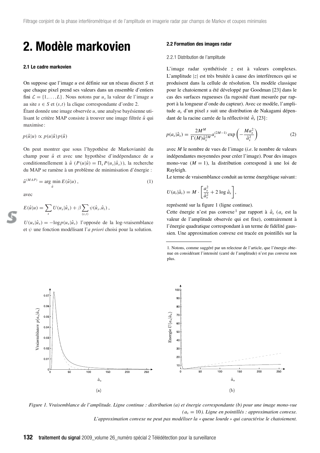## **2. Modèle markovien**

#### **2.1 Le cadre markovien**

On suppose que l'image *u* est définie sur un réseau discret *S* et que chaque pixel prend ses valeurs dans un ensemble d'entiers fini  $\mathcal{L} = \{1, \ldots, L\}$ . Nous notons par  $u_s$  la valeur de l'image *u* au site *s* ∈ *S* et  $(s,t)$  la clique correspondante d'ordre 2. Étant donnée une image observée *u*, une analyse bayésienne utilisant le critère MAP consiste à trouver une image filtrée  $\hat{u}$  qui maximise :

 $p(\hat{u}|u) \propto p(u|\hat{u})p(\hat{u})$ 

On peut montrer que sous l'hypothèse de Markovianité du champ pour  $\hat{u}$  et avec une hypothèse d'indépendance de *u* conditionnellement à  $\hat{u}$  ( $P(u|\hat{u}) = \prod_s P(u_s|\hat{u}_s)$ ), la recherche du MAP se ramène à un problème de minimisation d'énergie :

$$
\hat{u}^{(MAP)} = \underset{\hat{u}}{\arg \min} E(\hat{u}|u) ,\tag{1}
$$

avec

$$
E(\hat{u}|u) = \sum_{s} U(u_s|\hat{u}_s) + \beta \sum_{(s,t)} \psi(\hat{u}_s, \hat{u}_t),
$$

 $U(u_s|\hat{u}_s) = -\log p(u_s|\hat{u}_s)$  l'opposée de la log-vraisemblance et *ψ* une fonction modélisant l'*a priori* choisi pour la solution.

#### **2.2 Formation des images radar**

#### 2.2.1 Distribution de l'amplitude

L'image radar synthétisée *z* est à valeurs complexes. L'amplitude |*z*| est très bruitée à cause des interférences qui se produisent dans la cellule de résolution. Un modèle classique pour le chatoiement a été développé par Goodman [23] dans le cas des surfaces rugueuses (la rugosité étant mesurée par rapport à la longueur d'onde du capteur). Avec ce modèle, l'amplitude *as* d'un pixel *s* suit une distribution de Nakagami dépendant de la racine carrée de la réflectivité *a*ˆ*<sup>s</sup>* [23] :

$$
p(a_s|\hat{a}_s) = \frac{2M^M}{\Gamma(M)\hat{a}_s^{2M}} a_s^{(2M-1)} \exp\left(-\frac{Ma_s^2}{\hat{a}_s^2}\right)
$$
 (2)

avec *M* le nombre de vues de l'image (*i.e*. le nombre de valeurs indépendantes moyennées pour créer l'image). Pour des images mono-vue ( $M = 1$ ), la distribution correspond à une loi de Rayleigh.

Le terme de vraisemblance conduit au terme énergétique suivant:

$$
U(a_s|\hat{a}_s) = M \cdot \left[\frac{a_s^2}{\hat{a}_s^2} + 2 \log \hat{a}_s\right],
$$

représenté sur la figure 1 (ligne continue).

Cette énergie n'est pas convexe <sup>1</sup> par rapport à  $\hat{a}_s$  ( $a_s$  est la valeur de l'amplitude observée qui est fixe), contrairement à l'énergie quadratique correspondant à un terme de fidélité gaussien. Une approximation convexe est tracée en pointillés sur la

<sup>1.</sup> Notons, comme suggéré par un relecteur de l'article, que l'énergie obtenue en considérant l'intensité (carré de l'amplitude) n'est pas convexe non plus.



*Figure 1. Vraisemblance de l'amplitude. Ligne continue : distribution (a) et énergie correspondante (b) pour une image mono-vue*  $(a<sub>s</sub> = 10)$ *. Ligne en pointillés : approximation convexe. L'approximation convexe ne peut pas modéliser la « queue lourde » qui caractérise le chatoiement.*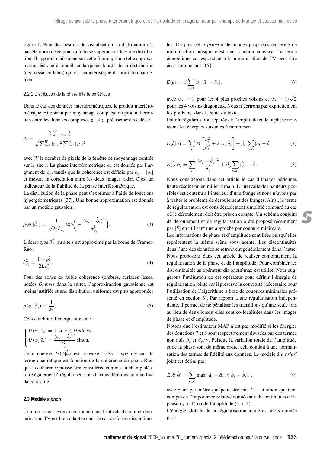figure 1. Pour des besoins de visualisation, la distribution n'a pas été normalisée pour qu'elle se superpose à la vraie distribution. Il apparaît clairement sur cette figure qu'une telle approximation échoue à modéliser la queue lourde de la distribution (décroissance lente) qui est caractéristique du bruit de chatoiement.

#### 2.2.2 Distribution de la phase interférométrique

Dans le cas des données interférométriques, le produit interférométrique est obtenu par moyennage complexe du produit hermitien entre les données complexes  $z_1$  et  $z_2$  précisément recalées:

$$
\rho_s = \frac{\sum_{i=1}^W z_{1_i} z_{2_i}^*}{\sqrt{\sum_{i=1}^W |z_{1_i}|^2 \sum_{i=1}^W |z_{2_i}|^2}}
$$

avec *W* le nombre de pixels de la fenêtre de moyennage centrée sur le site *s*. La phase interférométrique *φ<sup>s</sup>* est donnée par l'argument de *ρ<sup>s</sup>* , tandis que la cohérence est définie par *ρ<sup>s</sup>* = |*ρs*| et mesure la corrélation entre les deux images radar. C'est un indicateur de la fiabilité de la phase interférométrique.

La distribution de la phase peut s'exprimer à l'aide de fonctions hypergéométriques [37]. Une bonne approximation est donnée par un modèle gaussien :

$$
p(\phi_s|\hat{\phi}_s) = \frac{1}{\sqrt{2\pi}\hat{\sigma}_{\phi_s}} \exp\bigg(-\frac{(\phi_s - \hat{\phi}_s)^2}{\hat{\sigma}_{\phi_s}^2}\bigg). \tag{3}
$$

L'écart-type  $\hat{\sigma}^2_{\phi_s}$  au site *s* est approximé par la borne de Cramer-Rao :

$$
\hat{\sigma}_{\phi_s}^2 = \frac{1 - \rho_s^2}{2L\rho_s^2}.\tag{4}
$$

Pour des zones de faible cohérence (ombres, surfaces lisses, notées *Ombres* dans la suite), l'approximation gaussienne est moins justifiée et une distribution uniforme est plus appropriée :

$$
p(\phi_s|\hat{\phi}_s) = \frac{1}{2\pi}.\tag{5}
$$

Cela conduit à l'énergie suivante :

$$
\begin{cases}\nU(\phi_s|\hat{\phi}_s) = 0 \text{ si } s \in Ombres, \\
U(\phi_s|\hat{\phi}_s) = \frac{(\phi_s - \hat{\phi}_s)^2}{\hat{\sigma}_{\phi_s}^2} \text{ sinon.} \n\end{cases}
$$

Cette énergie  $U(\phi|\hat{\phi})$  est convexe. L'écart-type divisant le terme quadratique est fonction de la cohérence du pixel. Bien que la cohérence puisse être considérée comme un champ aléatoire également à régulariser, nous la considérerons comme fixe dans la suite.

#### **2.3 Modèle** *a priori*

Comme nous l'avons mentionné dans l'introduction, une régularisation TV est bien adaptée dans le cas de fortes discontinuités. De plus cet *a priori* a de bonnes propriétés en terme de minimisation puisque c'est une fonction convexe. Le terme énergétique correspondant à la minimisation de TV peut être écrit comme suit [15] :

$$
E(\hat{u}) = \beta \sum_{(s,t)} w_{st} |\hat{u}_s - \hat{u}_t|, \qquad (6)
$$

avec  $w_{st} = 1$  pour les 4 plus proches voisins et  $w_{st} = 1/\sqrt{2}$ pour les 4 voisins diagonaux. Nous n'écrirons pas explicitement les poids w*st* dans la suite du texte.

Pour la régularisation séparée de l'amplitude et de la phase nous avons les énergies suivantes à minimiser :

$$
E(\hat{a}|a) = \sum_{s} M\left[\frac{a_s^2}{\hat{a}_s^2} + 2\log \hat{a}_s\right] + \beta_a \sum_{(s,t)} |\hat{a}_s - \hat{a}_t| \tag{7}
$$

$$
E(\hat{\phi}|\phi) = \sum_{s} \frac{(\phi_s - \hat{\phi}_s)^2}{\hat{\sigma}_{\phi}^2} + \beta_{\phi} \sum_{(s,t)} |\hat{\phi}_s - \hat{\phi}_t|
$$
 (8)

Nous considérons dans cet article le cas d'images aériennes haute résolution en milieu urbain. L'intervalle des hauteurs possibles est contenu à l'intérieur d'une frange et nous n'avons pas à traiter le problème de déroulement des franges. Ainsi, le terme de régularisation est considérablement simplifié comparé au cas où le déroulement doit être pris en compte. Un schéma conjoint de déroulement et de régularisation a été proposé récemment par [5] en utilisant une approche par coupure minimale.

Les informations de phase et d'amplitude sont liées puisqu'elles représentent la même scène sous-jacente. Les discontinuités dans l'une des données se retrouvent généralement dans l'autre. Nous proposons dans cet article de réaliser conjointement la régularisation de la phase et de l'amplitude. Pour combiner les discontinuités un opérateur disjonctif max est utilisé. Nous suggérons l'utilisation de cet opérateur pour définir l'énergie de régularisation jointe car il préserve la convexité (nécessaire pour l'utilisation de l'algorithme à base de coupures minimales présenté en section 3). Par rapport à une régularisation indépendante, il permet de ne pénaliser les transitions qu'une seule fois au lieu de deux lorsqu'elles sont co-localisées dans les images de phase et d'amplitude.

Notons que l'estimateur MAP n'est pas modifié si les énergies des équations 7 et 8 sont respectivement divisées par des termes non nuls  $\beta_a$  et  $\beta_b/\gamma$ . Puisque la variation totale de l'amplitude et de la phase sont du même ordre, cela conduit à une normalisation des termes de fidélité aux données. Le modèle d'*a priori* joint est défini par :

$$
E(\hat{a}, \hat{\phi}) = \sum_{(s,t)} \max(|\hat{a}_s - \hat{a}_t|, \gamma|\hat{\phi}_s - \hat{\phi}_t|), \qquad (9)
$$

avec *γ* un paramètre qui peut être mis à 1, et sinon qui tient compte de l'importance relative donnée aux discontinuités de la phase ( $\gamma$  > 1) ou de l'amplitude ( $\gamma$  < 1).

L'énergie globale de la régularisation jointe est alors donnée par :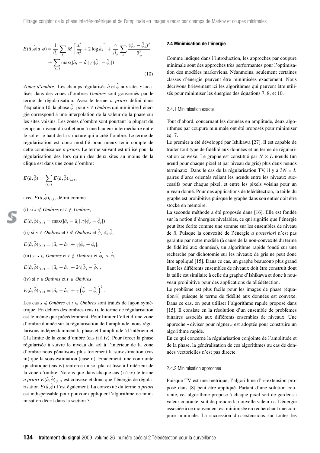$$
E(\hat{a}, \hat{\phi}|a, \phi) = \frac{1}{\beta_a} \sum_{s} M \left[ \frac{a_s^2}{\hat{a}_s^2} + 2 \log \hat{a}_s \right] + \frac{\gamma}{\beta_\phi} \sum_{s} \frac{(\phi_s - \hat{\phi}_s)^2}{\hat{\sigma}_{\phi}^2} + \sum_{(s,t)} \max(|\hat{a}_s - \hat{a}_t|, \gamma | \hat{\phi}_s - \hat{\phi}_t|).
$$
\n(10)

*Zones d'ombre* : Les champs régularisés *a*ˆ et *φ*ˆ aux sites *s* localisés dans des zones d'ombres *Ombres* sont gouvernés par le terme de régularisation. Avec le terme *a priori* défini dans l'équation 10, la phase *φ*ˆ*<sup>s</sup>* pour *<sup>s</sup>* <sup>∈</sup> *Ombres* qui minimise l'énergie correspond à une interpolation de la valeur de la phase sur les sites voisins. Les zones d'ombre sont pourtant la plupart du temps au niveau du sol et non à une hauteur intermédiaire entre le sol et le haut de la structure qui a créé l'ombre. Le terme de régularisation est donc modifié pour mieux tenir compte de cette connaissance *a priori*. Le terme suivant est utilisé pour la régularisation dès lors qu'un des deux sites au moins de la clique est dans une zone d'ombre:

$$
E(\hat{a},\hat{\phi})=\sum_{(s,t)}E(\hat{a},\hat{\phi})_{(s,t)},
$$

avec  $E(\hat{a}, \hat{\phi})_{(s,t)}$  défini comme:

(i) si 
$$
s \notin
$$
 *Ombres* et  $t \notin$  *Ombres*,  
\n $E(\hat{a}, \hat{\phi})_{(s,t)} = \max(|\hat{a}_s - \hat{a}_t|, \gamma|\hat{\phi}_s - \hat{\phi}_t|),$   
\n(ii) si  $s \in$  *Ombres* et  $t \notin$  *Ombres* et  $\hat{\phi}_s \leq \hat{\phi}_t$   
\n $E(\hat{a}, \hat{\phi})_{(s,t)} = |\hat{a}_s - \hat{a}_t| + \gamma|\hat{\phi}_s - \hat{\phi}_t|,$   
\n(iii) si  $s \in$  *Ombres* et  $t \notin$  *Ombres* et  $\hat{\phi}_s > \hat{\phi}_t$   
\n $E(\hat{a}, \hat{\phi})_{(s,t)} = |\hat{a}_s - \hat{a}_t| + 2\gamma|\hat{\phi}_s - \hat{\phi}_t|,$   
\n(iv) si  $s \in$  *Ombres* et  $t \in$  *Ombres*  
\n $E(\hat{a}, \hat{\phi})_{(s,t)} = |\hat{a}_s - \hat{a}_t| + \gamma(\hat{\phi}_s - \hat{\phi}_t)^2.$ 

Les cas *s* ∉ *Ombres* et *t* ∈ *Ombres* sont traités de façon symétrique. En dehors des ombres (cas i), le terme de régularisation est le même que précédemment. Pour limiter l'effet d'une zone d'ombre donnée sur la régularisation de l'amplitude, nous régularisons indépendamment la phase et l'amplitude à l'intérieur et à la limite de la zone d'ombre (cas ii à iv). Pour forcer la phase régularisée à suivre le niveau du sol à l'intérieur de la zone d'ombre nous pénalisons plus fortement la sur-estimation (cas iii) que la sous-estimation (case ii). Finalement, une contrainte quadratique (cas iv) renforce un sol plat et lisse à l'intérieur de la zone d'ombre. Notons que dans chaque cas (i à iv) le terme *a priori*  $E(\hat{a}, \hat{\phi})_{(s,t)}$  est convexe et donc que l'énergie de régularisation  $E(\hat{a}, \hat{\phi})$  l'est également. La convexité du terme *a priori* est indispensable pour pouvoir appliquer l'algorithme de minimisation décrit dans la section 3.

#### **2.4 Minimisation de l'énergie**

Comme indiqué dans l'introduction, les approches par coupure minimale sont des approches très performantes pour l'optimisation des modèles markoviens. Néanmoins, seulement certaines classes d'énergie peuvent être minimisées exactement. Nous décrivons brièvement ici les algorithmes qui peuvent être utilisés pour minimiser les énergies des équations 7, 8, et 10.

#### 2.4.1 Minimisation exacte

Tout d'abord, concernant les données en amplitude, deux algorithmes par coupure minimale ont été proposés pour minimiser eq. 7.

Le premier a été développé par Ishikawa [27]. Il est capable de traiter tout type de fidélité aux données et un terme de régularisation convexe. Le graphe est constitué par  $N \times L$  nœuds (un nœud pour chaque pixel et par niveau de gris) plus deux nœuds terminaux. Dans le cas de la régularisation TV, il y a 3*N* × *L* paires d'arcs orientés reliant les nœuds entre les niveaux successifs pour chaque pixel, et entre les pixels voisins pour un niveau donné. Pour des applications de télédétection, la taille du graphe est prohibitive puisque le graphe dans son entier doit être stocké en mémoire.

La seconde méthode a été proposée dans [16]. Elle est fondée sur la notion d'énergies nivelables, ce qui signifie que l'énergie peut être écrite comme une somme sur les ensembles de niveau de *u*ˆ. Puisque la convexité de l'énergie *a posteriori* n'est pas garantie par notre modèle (à cause de la non-convexité du terme de fidélité aux données), un algorithme rapide fondé sur une recherche par dichotomie sur les niveaux de gris ne peut donc être appliqué [15]. Dans ce cas, un graphe beaucoup plus grand liant les différents ensembles de niveaux doit être construit dont la taille est similaire à celle du graphe d'Ishikawa et donc à nouveau prohibitive pour des applications de télédétection.

Le problème est plus facile pour les images de phase (équation 8) puisque le terme de fidélité aux données est convexe. Dans ce cas, on peut utiliser l'algorithme rapide proposé dans [15]. Il consiste en la résolution d'un ensemble de problèmes binaires associés aux différents ensembles de niveaux. Une approche « diviser pour régner » est adoptée pour construire un algorithme rapide.

En ce qui concerne la régularisation conjointe de l'amplitude et de la phase, la généralisation de ces algorithmes au cas de données vectorielles n'est pas directe.

#### 2.4.2 Minimisation approchée

Puisque TV est une métrique, l'algorithme d'*α*-extension proposé dans [8] peut être appliqué. Partant d'une solution courante, cet algorithme propose à chaque pixel soit de garder sa valeur courante, soit de prendre la nouvelle valeur *α*. L'énergie associée à ce mouvement est minimisée en recherchant une coupure minimale. La succession d'*α*-extensions sur toutes les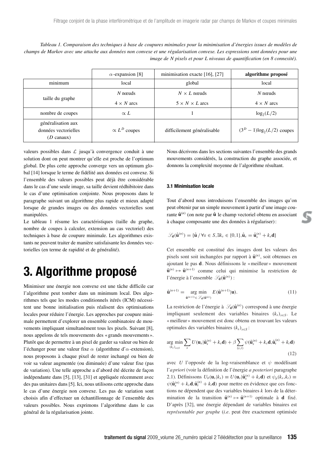*Tableau 1. Comparaison des techniques à base de coupures minimales pour la minimisation d'énergies issues de modèles de champs de Markov avec une attache aux données non convexe et une régularisation convexe. Les expressions sont données pour une image de N pixels et pour L niveaux de quantification (en 8 connexité).*

|                                                                    | $\alpha$ -expansion [8] | minimisation exacte [16], [27] | algorithme proposé             |
|--------------------------------------------------------------------|-------------------------|--------------------------------|--------------------------------|
| minimum                                                            | local                   | global                         | local                          |
| taille du graphe                                                   | $N$ no euds             | $N \times L$ no reuds          | $N$ no cuds                    |
|                                                                    | $4 \times N$ arcs       | $5 \times N \times L$ arcs     | $4 \times N$ arcs              |
| nombre de coupes                                                   | $\propto L$             |                                | $log_2(L/2)$                   |
| généralisation aux<br>données vectorielles<br>$(D \text{ canaux})$ | $\propto L^D$ coupes    | difficilement généralisable    | $(3^D - 1) \log_2(L/2)$ coupes |

valeurs possibles dans  $\mathcal L$  jusqu'à convergence conduit à une solution dont on peut montrer qu'elle est proche de l'optimum global. De plus cette approche converge vers un optimum global [14] lorsque le terme de fidélité aux données est convexe. Si l'ensemble des valeurs possibles peut déjà être considérable dans le cas d'une seule image, sa taille devient rédhibitoire dans le cas d'une optimisation conjointe. Nous proposons dans le paragraphe suivant un algorithme plus rapide et mieux adapté lorsque de grandes images ou des données vectorielles sont manipulées.

Le tableau 1 résume les caractéristiques (taille du graphe, nombre de coupes à calculer, extension au cas vectoriel) des techniques à base de coupure minimale. Les algorithmes existants ne peuvent traiter de manière satisfaisante les données vectorielles (en terme de rapidité et de généralité).

## **3. Algorithme proposé**

Minimiser une énergie non convexe est une tâche difficile car l'algorithme peut tomber dans un minimum local. Des algorithmes tels que les modes conditionnels itérés (ICM) nécessitent une bonne initialisation puis réalisent des optimisations locales pour réduire l'énergie. Les approches par coupure minimale permettent d'explorer un ensemble combinatoire de mouvements impliquant simultanément tous les pixels. Suivant [8], nous appelons de tels mouvements des « grands mouvements ». Plutôt que de permettre à un pixel de garder sa valeur ou bien de l'échanger pour une valeur fixe *α* (algorithme d'*α*-extension), nous proposons à chaque pixel de rester inchangé ou bien de voir sa valeur augmentée (ou diminuée) d'une valeur fixe (pas de variation). Une telle approche a d'abord été décrite de façon indépendante dans [5], [13], [31] et appliquée récemment avec des pas unitaires dans [5]. Ici, nous utilisons cette approche dans le cas d'une énergie non convexe. Les pas de variation sont choisis afin d'effectuer un échantillonnage de l'ensemble des valeurs possibles. Nous exprimons l'algorithme dans le cas général de la régularisation jointe.

Nous décrivons dans les sections suivantes l'ensemble des grands mouvements considérés, la construction du graphe associée, et donnons la complexité moyenne de l'algorithme résultant.

#### **3.1 Minimisation locale**

Tout d'abord nous introduisons l'ensemble des images qu'on peut obtenir par un simple mouvement à partir d'une image courante  $\hat{\mathbf{u}}^{(n)}$  (on note par  $\hat{\mathbf{u}}$  le champ vectoriel obtenu en associant à chaque composante une des données à régulariser) :

$$
\mathcal{S}_{\mathbf{d}}(\hat{\mathbf{u}}^{(n)}) = \{\hat{\mathbf{u}} \mid \forall s \in S, \exists k_s \in \{0, 1\}, \hat{\mathbf{u}}_s = \hat{\mathbf{u}}_s^{(n)} + k_s \mathbf{d}\}
$$

Cet ensemble est constitué des images dont les valeurs des pixels sont soit inchangées par rapport à  $\hat{\mathbf{u}}^{(n)}$ , soit obtenues en ajoutant le pas **d**. Nous définissons le « meilleur » mouvement  $\hat{\mathbf{u}}^{(n)} \mapsto \hat{\mathbf{u}}^{(n+1)}$  comme celui qui minimise la restriction de l'énergie à l'ensemble  $\mathscr{S}_{d}(\hat{\mathbf{u}}^{(n)})$ :

$$
\hat{\mathbf{u}}^{(n+1)} = \underset{\hat{\mathbf{u}}^{(n+1)} \in \mathcal{S}_{\mathbf{d}}(\hat{\mathbf{u}}^{(n)})}{\arg \min} E(\hat{\mathbf{u}}^{(n+1)} | \mathbf{u}). \tag{11}
$$

La restriction de l'énergie à  $\mathcal{G}_{d}(\hat{\mathbf{u}}^{(n)})$  correspond à une énergie impliquant seulement des variables binaires  $(k<sub>s</sub>)<sub>s\in S</sub>$ . Le « meilleur » mouvement est donc obtenu en trouvant les valeurs optimales des variables binaires  $(k<sub>s</sub>)<sub>s∈S</sub>$ :

$$
\underset{(k_s)_{s \in S}}{\arg \min} \sum_{s} U(\mathbf{u}_s | \hat{\mathbf{u}}_s^{(n)} + k_s \mathbf{d}) + \beta \sum_{(s,t)} \psi(\hat{\mathbf{u}}_s^{(n)} + k_s \mathbf{d}, \hat{\mathbf{u}}_t^{(n)} + k_t \mathbf{d})
$$
\n(12)

avec *U* l'opposée de la log-vraisemblance et *ψ* modélisant l'*a priori* (voir la définition de l'énergie *a posteriori* paragraphe 2.1). Définissons  $U_b(\mathbf{u}_s|k_s) \equiv U(\mathbf{u}_s|\hat{\mathbf{u}}_s^{(n)} + k_s \mathbf{d})$  et  $\psi_b(k_s, k_t) \equiv$  $\psi(\hat{\mathbf{u}}_s^{(n)} + k_s \mathbf{d}, \hat{\mathbf{u}}_t^{(n)} + k_t \mathbf{d})$  pour mettre en évidence que ces fonctions ne dépendent que des variables binaires *k* lors de la détermination de la transition  $\hat{\mathbf{u}}^{(n)} \mapsto \hat{\mathbf{u}}^{(n+1)}$  optimale à **d** fixé. D'après [32], une énergie dépendant de variables binaires est *représentable par graphe* (*i.e*. peut être exactement optimisée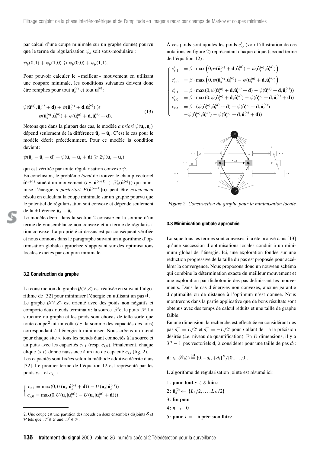par calcul d'une coupe minimale sur un graphe donné) pourvu que le terme de régularisation  $\psi_b$  soit sous-modulaire :

$$
\psi_b(0,1) + \psi_b(1,0) \ge \psi_b(0,0) + \psi_b(1,1).
$$

Pour pouvoir calculer le « meilleur » mouvement en utilisant une coupure minimale, les conditions suivantes doivent donc être remplies pour tout  $\mathbf{u}_s^{(n)}$  et tout  $\mathbf{u}_t^{(n)}$ :

$$
\psi(\hat{\mathbf{u}}_s^{(n)}, \hat{\mathbf{u}}_t^{(n)} + \mathbf{d}) + \psi(\hat{\mathbf{u}}_s^{(n)} + \mathbf{d}, \hat{\mathbf{u}}_t^{(n)}) \geqslant
$$
\n
$$
\psi(\hat{\mathbf{u}}_s^{(n)}, \hat{\mathbf{u}}_t^{(n)}) + \psi(\hat{\mathbf{u}}_s^{(n)} + \mathbf{d}, \hat{\mathbf{u}}_t^{(n)} + \mathbf{d}).
$$
\n(13)

Notons que dans la plupart des cas, le modèle *a priori*  $\psi(\mathbf{u}_s, \mathbf{u}_t)$ dépend seulement de la différence  $\hat{\mathbf{u}}_s - \hat{\mathbf{u}}_t$ . C'est le cas pour le modèle décrit précédemment. Pour ce modèle la condition devient :

$$
\psi(\hat{\mathbf{u}}_s - \hat{\mathbf{u}}_t - \mathbf{d}) + \psi(\hat{\mathbf{u}}_s - \hat{\mathbf{u}}_t + \mathbf{d}) \geq 2\psi(\hat{\mathbf{u}}_s - \hat{\mathbf{u}}_t)
$$

qui est vérifiée par toute régularisation convexe *ψ*.

En conclusion, le problème *local* de trouver le champ vectoriel  $\hat{\mathbf{u}}^{(n+1)}$  situé à un mouvement (*i.e.*  $\hat{\mathbf{u}}^{(n+1)} \in \mathcal{S}_{\mathbf{d}}(\hat{\mathbf{u}}^{(n)})$ ) qui minimise l'énergie *a posteriori*  $E(\hat{\mathbf{u}}^{(n+1)}|\mathbf{u})$  peut être *exactement* résolu en calculant la coupe minimale sur un graphe pourvu que le potentiel de régularisation soit convexe et dépende seulement de la différence  $\hat{\mathbf{u}}_s - \hat{\mathbf{u}}_t$ .

Le modèle décrit dans la section 2 consiste en la somme d'un terme de vraisemblance non convexe et un terme de régularisation convexe. La propriété ci-dessus est par conséquent vérifiée et nous donnons dans le paragraphe suivant un algorithme d'optimisation globale approchée s'appuyant sur des optimisations locales exactes par coupure minimale.

#### **3.2 Construction du graphe**

La construction du graphe  $\mathcal{G}(\mathcal{V}, \mathcal{E})$  est réalisée en suivant l'algorithme de [32] pour minimiser l'énergie en utilisant un pas **d**. Le graphe  $G(V, \mathcal{E})$  est orienté avec des poids non négatifs et comporte deux nœuds terminaux : la source  $\mathcal{S}$  et le puits  $\mathcal{P}$ . La structure du graphe et les poids sont choisis de telle sorte que toute coupe <sup>2</sup> ait un coût (*i.e*. la somme des capacités des arcs) correspondant à l'énergie à minimiser. Nous créons un nœud pour chaque site *s*, tous les nœuds étant connectés à la source et au puits avec les capacités *cs*,<sup>1</sup> (resp. *cs*,0). Finalement, chaque clique  $(s,t)$  donne naissance à un arc de capacité  $c_{s,t}$  (fig. 2).

Les capacités sont fixées selon la méthode additive décrite dans [32]. Le premier terme de l'équation 12 est représenté par les poids  $c_{s,0}$  et  $c_{s,1}$ :

$$
\begin{cases} c_{s,1} = \max(0, U(\mathbf{u}_s|\hat{\mathbf{u}}_s^{(n)} + \mathbf{d})) - U(\mathbf{u}_s|\hat{\mathbf{u}}_s^{(n)})) \\ c_{s,0} = \max(0, U(\mathbf{u}_s|\hat{\mathbf{u}}_s^{(n)}) - U(\mathbf{u}_s|\hat{\mathbf{u}}_s^{(n)} + \mathbf{d}))). \end{cases}
$$

À ces poids sont ajoutés les poids  $c'_{\cdot,\cdot}$  (voir l'illustration de ces notations en figure 2) représentant chaque clique (second terme de l'équation 12) :

$$
\begin{cases}\nc'_{s,1} &= \beta \cdot \max \left(0, \psi(\hat{\mathbf{u}}_s^{(n)} + \mathbf{d}, \hat{\mathbf{u}}_t^{(n)}) - \psi(\hat{\mathbf{u}}_s^{(n)}, \hat{\mathbf{u}}_t^{(n)})\right) \\
c'_{s,0} &= \beta \cdot \max \left(0, \psi(\hat{\mathbf{u}}_s^{(n)}, \hat{\mathbf{u}}_t^{(n)}) - \psi(\hat{\mathbf{u}}_s^{(n)} + \mathbf{d}, \hat{\mathbf{u}}_t^{(n)})\right) \\
c'_{t,1} &= \beta \cdot \max(0, \psi(\hat{\mathbf{u}}_s^{(n)} + \mathbf{d}, \hat{\mathbf{u}}_t^{(n)}) + \mathbf{d}) - \psi(\hat{\mathbf{u}}_s^{(n)} + \mathbf{d}, \hat{\mathbf{u}}_t^{(n)})\right) \\
c'_{t,0} &= \beta \cdot \max(0, \psi(\hat{\mathbf{u}}_s^{(n)} + \mathbf{d}, \hat{\mathbf{u}}_t^{(n)}) - \psi(\hat{\mathbf{u}}_s^{(n)} + \mathbf{d}, \hat{\mathbf{u}}_t^{(n)} + \mathbf{d})) \\
c_{s,t} &= \beta \cdot (\psi(\hat{\mathbf{u}}_s^{(n)}, \hat{\mathbf{u}}_t^{(n)}) + \mathbf{d}) + \psi(\hat{\mathbf{u}}_s^{(n)} + \mathbf{d}, \hat{\mathbf{u}}_t^{(n)}) \\
-\psi(\hat{\mathbf{u}}_s^{(n)}, \hat{\mathbf{u}}_t^{(n)}) - \psi(\hat{\mathbf{u}}_s^{(n)} + \mathbf{d}, \hat{\mathbf{u}}_t^{(n)} + \mathbf{d}))\n\end{cases}
$$



*Figure 2. Construction du graphe pour la minimisation locale.*

#### **3.3 Minimisation globale approchée**

Lorsque tous les termes sont convexes, il a été prouvé dans [13] qu'une succession d'optimisations locales conduit à un minimum global de l'énergie. Ici, une exploration fondée sur une réduction progressive de la taille du pas est proposée pour accélérer la convergence. Nous proposons donc un nouveau schéma qui combine la détermination exacte du meilleur mouvement et une exploration par dichotomie des pas définissant les mouvements. Dans le cas d'énergies non convexes, aucune garantie d'optimalité ou de distance à l'optimum n'est donnée. Nous montrerons dans la partie applicative que de bons résultats sont obtenus avec des temps de calcul réduits et une taille de graphe faible.

En une dimension, la recherche est effectuée en considérant des pas  $d_i^+ = L/2^i$  et  $d_i^- = -L/2^i$  pour *i* allant de 1 à la précision désirée (*i.e*. niveau de quantification). En *D* dimensions, il y a 3*<sup>D</sup>* − 1 pas vectoriels **d***<sup>i</sup>* à considérer pour une taille de pas *di* :

$$
\mathbf{d}_i \in \mathscr{S}(d_i) \stackrel{\text{def}}{=} \{0, -d_i, +d_i\}^D / \{0, \ldots, 0\}.
$$

L'algorithme de régularisation jointe est résumé ici :

- 1 : **pour tout** *s* ∈ *S* **faire**
- $2: \hat{\mathbf{u}}_s^{(0)} \leftarrow \{L_1/2, \ldots, L_D/2\}$
- 3 : **fin pour**
- $4: n \leftarrow 0$
- 

<sup>2.</sup> Une coupe est une partition des noeuds en deux ensembles disjoints S et  $\overline{5}$ : **pour**  $i = 1$  à précision **faire** P tels que  $\mathcal{S} \in \mathcal{S}$  and  $\mathcal{P} \in \mathcal{P}$ .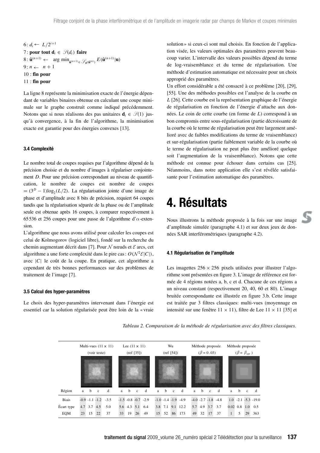6: 
$$
d_i \leftarrow L/2^{i+1}
$$
  
\n7: **pour tout d**<sub>*i*</sub>  $\in \mathcal{G}(d_i)$  **faire**  
\n8:  $\hat{\mathbf{u}}^{(n+1)} \leftarrow \arg \min_{\hat{\mathbf{u}}^{(n+1)} \in \mathcal{G}_{\mathbf{d}}(\hat{\mathbf{u}}^{(n)})} E(\hat{\mathbf{u}}^{(n+1)} | \mathbf{u})$   
\n9:  $n \leftarrow n + 1$   
\n10: **fin pour**  
\n11: **fin pour**

La ligne 8 représente la minimisation exacte de l'énergie dépendant de variables binaires obtenue en calculant une coupe minimale sur le graphe construit comme indiqué précédemment. Notons que si nous réalisons des pas unitaires  $\mathbf{d}_i \in \mathcal{S}(1)$  jusqu'à convergence, à la fin de l'algorithme, la minimisation exacte est garantie pour des énergies convexes [13].

#### **3.4 Complexité**

Le nombre total de coupes requises par l'algorithme dépend de la précision choisie et du nombre d'images à régulariser conjointement *D*. Pour une précision correspondant au niveau de quantification, le nombre de coupes est nombre de coupes  $=(3<sup>D</sup> - 1)log<sub>2</sub>(L/2)$ . La régularisation jointe d'une image de phase et d'amplitude avec 8 bits de précision, requiert 64 coupes tandis que la régularisation séparée de la phase ou de l'amplitude seule est obtenue après 16 coupes, à comparer respectivement à 65536 et 256 coupes pour une passe de l'algorithme d'*α*-extension.

L'algorithme que nous avons utilisé pour calculer les coupes est celui de Kolmogorov (logiciel libre), fondé sur la recherche du chemin augmentant décrit dans [7]. Pour  $N$  nœuds et  $\mathcal E$  arcs, cet algorithme a une forte complexité dans le pire cas :  $O(N^2 \mathcal{E}|C|)$ , avec |*C*| le coût de la coupe. En pratique, cet algorithme a cependant de très bonnes performances sur des problèmes de traitement de l'image [7].

#### **3.5 Calcul des hyper-paramètres**

Le choix des hyper-paramètres intervenant dans l'énergie est essentiel car la solution régularisée peut être loin de la « vraie

solution » si ceux-ci sont mal choisis. En fonction de l'application visée, les valeurs optimales des paramètres peuvent beaucoup varier. L'intervalle des valeurs possibles dépend du terme de log-vraisemblance et du terme de régularisation. Une méthode d'estimation automatique est nécessaire pour un choix approprié des paramètres.

Un effort considérable a été consacré à ce problème [20], [29], [55]. Une des méthodes possibles est l'analyse de la courbe en *L* [26]. Cette courbe est la représentation graphique de l'énergie de régularisation en fonction de l'énergie d'attache aux données. Le coin de cette courbe (en forme de *L*) correspond à un bon compromis entre sous-régularisation (partie décroissante de la courbe où le terme de régularisation peut être largement amélioré avec de faibles modifications du terme de vraisemblance) et sur-régularisation (partie faiblement variable de la courbe où le terme de régularisation ne peut plus être amélioré quelque soit l'augmentation de la vraisemblance). Notons que cette méthode est connue pour échouer dans certains cas [25]. Néanmoins, dans notre application elle s'est révélée satisfaisante pour l'estimation automatique des paramètres.

## **4. Résultats**

Nous illustrons la méthode proposée à la fois sur une image d'amplitude simulée (paragraphe 4.1) et sur deux jeux de données SAR interférométriques (paragraphe 4.2).

#### **4.1 Régularisation de l'amplitude**

Les imagettes  $256 \times 256$  pixels utilisées pour illustrer l'algorithme sont présentées en figure 3. L'image de référence est formée de 4 régions notées a, b, c et d. Chacune de ces régions a un niveau constant (respectivement 20, 40, 60 et 80). L'image bruitée correspondante est illustrée en figure 3.b. Cette image est traitée par 3 filtres classiques: multi-vues (moyennage en intensité sur une fenêtre  $11 \times 11$ ), filtre de Lee  $11 \times 11$  [35] et



*Tableau 2. Comparaison de la méthode de régularisation avec des filtres classiques.*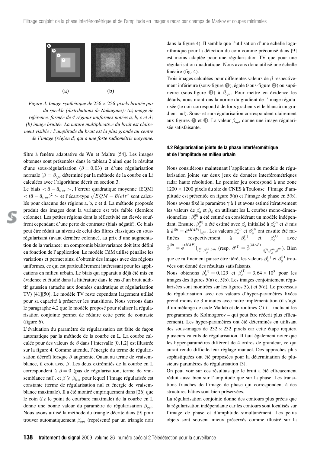

*Figure 3. Image synthétique de* 256 × 256 *pixels bruitée par du speckle (distributions de Nakagami) : (a) image de référence, formée de 4 régions uniformes notées a, b, c et d ; (b) image bruitée. La nature multiplicative du bruit est clairement visible : l'amplitude du bruit est la plus grande au centre de l'image (région d) qui a une forte radiométrie moyenne.*

filtre à fenêtre adaptative de Wu et Maître [54]. Les images obtenues sont présentées dans le tableau 2 ainsi que le résultat d'une sous-régularisation (*β* = 0,03) et d'une régularisation normale (*β* = *βopt* déterminé par la méthode de la courbe en L) calculées avec l'algorithme décrit en section 3.

Le biais  $\langle \hat{a} - \hat{a}_{true} \rangle$ , l'erreur quadratique moyenne (EQM)  $< (\hat{a} - \hat{a}_{true})^2 >$  et l'écart-type  $\sqrt{EQM - Biais^2}$  sont calculés pour chacune des régions a, b, c et d. La méthode proposée produit des images dont la variance est très faible (dernière colonne). Les petites régions dont la réflectivité est élevée souffrent cependant d'une perte de contraste (biais négatif). Ce biais peut être réduit au niveau de celui des filtres classiques en sousrégularisant (avant dernière colonne), au prix d'une augmentation de la variance : un compromis biais/variance doit être défini en fonction de l'application. Le modèle CdM utilisé pénalise les variations et permet ainsi d'obtenir des images avec des régions uniformes, ce qui est particulièrement intéressant pour les applications en milieu urbain. Le biais qui apparaît a déjà été mis en évidence et étudié dans la littérature dans le cas d'un bruit additif gaussien (attache aux données quadratique et régularisation TV) [41][50]. Le modèle TV reste cependant largement utilisé pour sa capacité à préserver les transitions. Nous verrons dans le paragraphe 4.2 que le modèle proposé pour réaliser la régularisation conjointe permet de réduire cette perte de contraste (figure 6).

L'évaluation du paramètre de régularisation est faite de façon automatique par la méthode de la courbe en L. La courbe calculée pour des valeurs de *β* dans l'intervalle [0,1.2] est illustrée sur la figure 4. Comme attendu, l'énergie du terme de régularisation décroît lorsque *β* augmente. Quant au terme de vraisemblance, il croît avec *β*. Les deux extrémités de la courbe en L correspondent à *β* = 0 (pas de régularisation, terme de vraisemblance nul), et *β βlim* pour lequel l'image régularisée est constante (terme de régularisation nul et énergie de vraisemblance maximale). Il a été montré empiriquement dans [26] que le coin (*i.e* le point de courbure maximale) de la courbe en L donne une bonne valeur du paramètre de régularisation *βopt* . Nous avons utilisé la méthode du triangle décrite dans [9] pour trouver automatiquement *βopt* (représenté par un triangle noir

dans la figure 4). Il semble que l'utilisation d'une échelle logarithmique pour la détection du coin comme préconisé dans [9] est moins adaptée pour une régularisation TV que pour une régularisation quadratique. Nous avons donc utilisé une échelle linéaire (fig. 4).

Trois images calculées pour différentes valeurs de *β* respectivement inférieure (sous-figure ➊), égale (sous-figure ❷) ou supérieure (sous-figure ❸) à *βopt* . Pour mettre en évidence les détails, nous montrons la norme du gradient de l'image régularisée (le noir correspond à de forts gradients et le blanc à un gradient nul). Sous- et sur-régularisation correspondent clairement aux figures ➊ et ❸. La valeur *βopt* donne une image régularisée satisfaisante.

### **4.2 Régularisation jointe de la phase interférométrique et de l'amplitude en milieu urbain**

Nous considérons maintenant l'application du modèle de régularisation jointe sur deux jeux de données interférométriques radar haute résolution. Le premier jeu correspond à une zone  $1200 \times 1200$  pixels du site du CNES à Toulouse : l'image d'amplitude est présentée en figure 5(a) et l'image de phase en 5(b). Nous avons fixé le paramètre *γ* à 1 et avons estimé itérativement les valeurs de  $\beta_a$  et  $\beta_\phi$  en utilisant les L courbes mono-dimensionnelles :  $\beta_a^{(0)}$  a été estimé en considérant un modèle indépendant. Ensuite,  $\beta_{\phi}^{(0)}$  a été estimé avec  $\beta_a$  initialisé à  $\beta_a^{(0)}$  et *â* mis à  $\hat{a}^{(0)} = \hat{a}^{(MAP)}|_{\beta_a^{(0)}}$ . Les valeurs  $\beta_a^{(0)}$  et  $\beta_\phi^{(0)}$  ont ensuite été raffinées respectivement à  $\beta_a^{(1)}$  et  $\beta_\phi^{(1)}$  avec  $\hat{\phi}^{(0)} = \hat{\phi}^{(MAP)}|_{\beta_a^{(0)}, \beta_{\phi}^{(0)}, \hat{a}^{(0)}}$  (resp.  $\hat{a}^{(1)} = \hat{\phi}^{(MAP)}|_{\beta_a^{(1)}, \beta_{\phi}^{(0)}, \hat{\phi}^{(0)}}$ ). Bien

que ce raffinement puisse être itéré, les valeurs  $\beta_a^{(1)}$  et  $\beta_\phi^{(1)}$  trouvées ont donné des résultats satisfaisants.

Nous obtenons  $\beta_a^{(1)} = 0,129$  et  $\beta_{\phi}^{(1)} = 3,64 \times 10^3$  pour les images des figures 5(a) et 5(b). Les images conjointement régularisées sont montrées sur les figures 5(c) et 5(d). Le processus de régularisation avec des valeurs d'hyper-paramètres fixées prend moins de 3 minutes avec notre implémentation (il s'agit d'un mélange de code Matlab et de routines C++ – incluant les programmes de Kolmogorov – qui peut être réécrit plus efficacement). Les hyper-paramètres ont été déterminés en utilisant des sous-images de  $232 \times 232$  pixels car cette étape requiert plusieurs calculs de régularisation. Il faut également noter que les hyper-paramètres diffèrent de 4 ordres de grandeur, ce qui aurait rendu difficile leur réglage manuel. Des approches plus sophistiquées ont été proposées pour la détermination de plusieurs paramètres de régularisation [3].

On peut voir sur ces résultats que le bruit a été efficacement réduit aussi bien sur l'amplitude que sur la phase. Les transitions franches de l'image de phase qui correspondent à des structures bâties sont bien préservées.

La régularisation conjointe donne des contours plus précis que la régularisation indépendante car les contours sont localisés sur l'image de phase et d'amplitude simultanément. Les petits objets sont souvent mieux préservés comme illustré sur la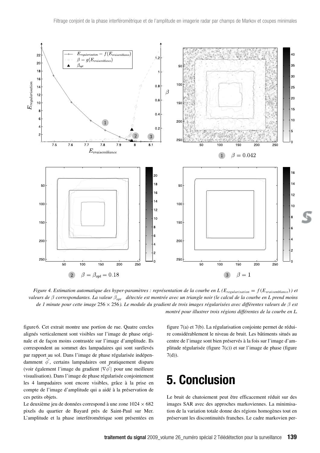

*Figure 4. Estimation automatique des hyper-paramètres : représentation de la courbe en L (* $E_{regulation} = f(E_{variable})$ *) et valeurs de β correspondantes. La valeur βopt détectée est montrée avec un triangle noir (le calcul de la courbe en L prend moins de 1 minute pour cette image* 256 × 256*). Le module du gradient de trois images régularisées avec différentes valeurs de β est montré pour illustrer trois régions différentes de la courbe en L.*

figure 6. Cet extrait montre une portion de rue. Quatre cercles alignés verticalement sont visibles sur l'image de phase originale et de façon moins contrastée sur l'image d'amplitude. Ils correspondent au sommet des lampadaires qui sont surélevés par rapport au sol. Dans l'image de phase régularisée indépendamment  $\hat{\phi}'$ , certains lampadaires ont pratiquement disparu (voir également l'image du gradient | $\sqrt{\phi'}$ | pour une meilleure visualisation). Dans l'image de phase régularisée conjointement les 4 lampadaires sont encore visibles, grâce à la prise en compte de l'image d'amplitude qui a aidé à la préservation de ces petits objets.

Le deuxième jeu de données correspond à une zone  $1024 \times 682$ pixels du quartier de Bayard près de Saint-Paul sur Mer. L'amplitude et la phase interférométrique sont présentées en figure 7(a) et 7(b). La régularisation conjointe permet de réduire considérablement le niveau de bruit. Les bâtiments situés au centre de l'image sont bien préservés à la fois sur l'image d'amplitude régularisée (figure 7(c)) et sur l'image de phase (figure 7(d)).

## **5. Conclusion**

Le bruit de chatoiement peut être efficacement réduit sur des images SAR avec des approches markoviennes. La minimisation de la variation totale donne des régions homogènes tout en préservant les discontinuités franches. Le cadre markovien per-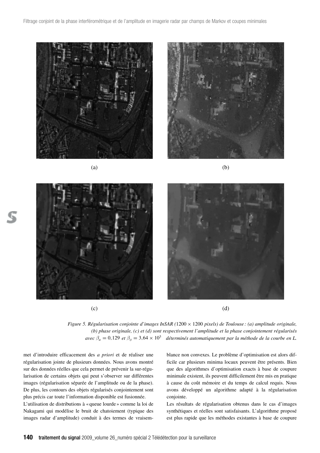

 $(a)$  (b)



*Figure 5. Régularisation conjointe d'images InSAR (1200 × 1200 pixels) de Toulouse : (a) amplitude originale, (b) phase originale, (c) et (d) sont respectivement l'amplitude et la phase conjointement régularisés avec*  $\beta_a = 0,129$  *et*  $\beta_\phi = 3,64 \times 10^3$  *déterminés automatiquement par la méthode de la courbe en L.* 

met d'introduire efficacement des *a priori* et de réaliser une régularisation jointe de plusieurs données. Nous avons montré sur des données réelles que cela permet de prévenir la sur-régularisation de certains objets qui peut s'observer sur différentes images (régularisation séparée de l'amplitude ou de la phase). De plus, les contours des objets régularisés conjointement sont plus précis car toute l'information disponible est fusionnée.

L'utilisation de distributions à «queue lourde » comme la loi de Nakagami qui modélise le bruit de chatoiement (typique des images radar d'amplitude) conduit à des termes de vraisemblance non convexes. Le problème d'optimisation est alors difficile car plusieurs minima locaux peuvent être présents. Bien que des algorithmes d'optimisation exacts à base de coupure minimale existent, ils peuvent difficilement être mis en pratique à cause du coût mémoire et du temps de calcul requis. Nous avons développé un algorithme adapté à la régularisation conjointe.

Les résultats de régularisation obtenus dans le cas d'images synthétiques et réelles sont satisfaisants. L'algorithme proposé est plus rapide que les méthodes existantes à base de coupure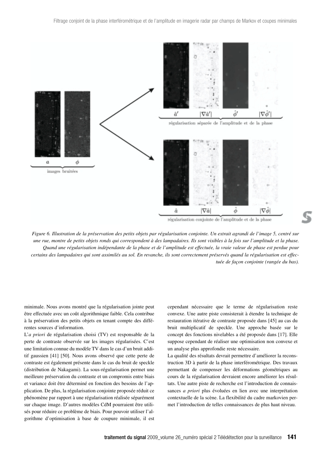

régularisation conjointe de l'amplitude et de la phase

*Figure 6. Illustration de la préservation des petits objets par régularisation conjointe. Un extrait agrandi de l'image 5, centré sur une rue, montre de petits objets ronds qui correspondent à des lampadaires. Ils sont visibles à la fois sur l'amplitude et la phase. Quand une régularisation indépendante de la phase et de l'amplitude est effectuée, la vraie valeur de phase est perdue pour certains des lampadaires qui sont assimilés au sol. En revanche, ils sont correctement préservés quand la régularisation est effectuée de façon conjointe (rangée du bas).*

minimale. Nous avons montré que la régularisation jointe peut être effectuée avec un coût algorithmique faible. Cela contribue à la préservation des petits objets en tenant compte des différentes sources d'information.

L'*a priori* de régularisation choisi (TV) est responsable de la perte de contraste observée sur les images régularisées. C'est une limitation connue du modèle TV dans le cas d'un bruit additif gaussien [41] [50]. Nous avons observé que cette perte de contraste est également présente dans le cas du bruit de speckle (distribution de Nakagami). La sous-régularisation permet une meilleure préservation du contraste et un compromis entre biais et variance doit être déterminé en fonction des besoins de l'application. De plus, la régularisation conjointe proposée réduit ce phénomène par rapport à une régularisation réalisée séparément sur chaque image. D'autres modèles CdM pourraient être utilisés pour réduire ce problème de biais. Pour pouvoir utiliser l'algorithme d'optimisation à base de coupure minimale, il est

cependant nécessaire que le terme de régularisation reste convexe. Une autre piste consisterait à étendre la technique de restauration itérative de contraste proposée dans [45] au cas du bruit multiplicatif de speckle. Une approche basée sur le concept des fonctions nivelables a été proposée dans [17]. Elle suppose cependant de réaliser une optimisation non convexe et un analyse plus approfondie reste nécessaire.

La qualité des résultats devrait permettre d'améliorer la reconstruction 3D à partir de la phase interférométrique. Des travaux permettant de compenser les déformations géométriques au cours de la régularisation devraient encore améliorer les résultats. Une autre piste de recherche est l'introduction de connaissances *a priori* plus évoluées en lien avec une interprétation contextuelle de la scène. La flexibilité du cadre markovien permet l'introduction de telles connaissances de plus haut niveau.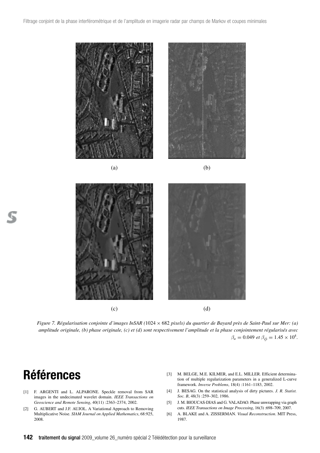

*Figure 7. Régularisation conjointe d'images InSAR (*1024 × 682 *pixels) du quartier de Bayard près de Saint-Paul sur Mer: (a) amplitude originale, (b) phase originale, (c) et (d) sont respectivement l'amplitude et la phase conjointement régularisés avec*  $\beta_a = 0.049$  *et*  $\beta_\phi = 1.45 \times 10^4$ *.* 

## **Références**

- [1] F. ARGENTI and L. ALPARONE. Speckle removal from SAR images in the undecimated wavelet domain. *IEEE Transactions on Geoscience and Remote Sensing*, 40(11) :2363–2374, 2002.
- [2] G. AUBERT and J.F. AUJOL. A Variational Approach to Removing Multiplicative Noise. *SIAM Journal on Applied Mathematics*, 68:925, 2008.
- [3] M. BELGE, M.E. KILMER, and E.L. MILLER. Efficient determination of multiple regularization parameters in a generalized L-curve framework. *Inverse Problems*, 18(4) :1161–1183, 2002.
- [4] J. BESAG. On the statistical analysis of dirty pictures. *J. R. Statist. Soc. B*, 48(3) :259–302, 1986.
- [5] J. M. BIOUCAS-DIAS and G. VALADAO. Phase unwrapping via graph cuts. *IEEE Transactions on Image Processing*, 16(3) :698–709, 2007.
- [6] A. BLAKE and A. ZISSERMAN. *Visual Reconstruction*. MIT Press, 1987.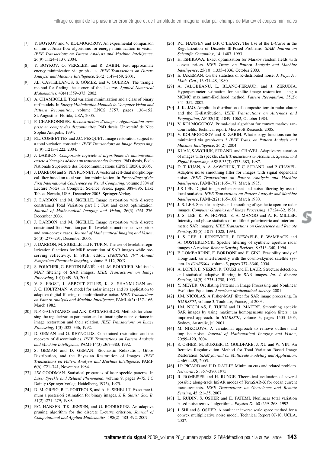- [7] Y. BOYKOV and V. KOLMOGOROV. An experimental comparison of min-cut/max-flow algorithms for energy minimization in vision. *IEEE Transactions on Pattern Analysis and Machine Intelligence*, 26(9) :1124–1137, 2004.
- [8] Y. BOYKOV, O. VEKSLER, and R. ZABIH. Fast approximate energy minimization via graph cuts. *IEEE Transactions on Pattern Analysis and Machine Intelligence*, 26(2) :147–159, 2001.
- [9] J.L. CASTELLANOS, S. GÓMEZ, and V. GUERRA. The triangle method for finding the corner of the L-curve. *Applied Numerical Mathematics,* 43(4) :359–373, 2002.
- [10] A. CHAMBOLLE. Total variation minimization and a class of binary mrf models. In *Energy Minimization Methods in Computer Vision and Pattern Recognition*, volume LNCS 3757, pages 136–152, St. Augustine, Florida, USA, 2005.
- [11] P. CHARBONNIER. *Reconstruction d'image : régularisation avec prise en compte des discontinuités*. PhD thesis, Université de Nice Sophia Antipolis, 1994.
- [12] P.L. COMBETTES and J.C. PESQUET. Image restoration subject to a total variation constraint. *IEEE Transactions on Image Processing*, 13(9) :1213–1222, 2004.
- [13] J. DARBON. *Composants logiciels et algorithmes de minimisation exacte d'énergies dédiées au traitement des images*. PhD thesis, École Nationale Supérieure des Télécommunications (ENST E050), 2005.
- [14] J. DARBON and S. PEYRONNET. A vectorial self-dual morphological filter based on total variation minimization. In *Proceedings of the First International Conference on Visual Computing*, volume 3804 of Lecture Notes in Computer Science Series, pages 388–395, Lake Tahoe, Nevada, USA, December 2005. Springer-Verlag.
- [15] J. DARBON and M. SIGELLE. Image restoration with discrete constrained Total Variation part I : Fast and exact optimization. *Journal of Mathematical Imaging and Vision*, 26(3) :261–276, December 2006.
- [16] J. DARBON and M. SIGELLE. Image restoration with discrete constrained Total Variation part II : Levelable functions, convex priors and non-convex cases. *Journal of Mathematical Imaging and Vision*, 26(3) :277–291, December 2006.
- [17] J. DARBON, M. SIGELLE and F. TUPIN. The use of levelable regularization functions for MRF restoration of SAR images while preserving reflectivity. In SPIE, editor, *IS&T/SPIE 19th Annual Symposium Electronic Imaging*, volume E 112, 2007.
- [18] S. FOUCHER, G. BERTIN BÉNIÉ and J.-M. BOUCHER. Multiscale MAP filtering of SAR images. *IEEE Transactions on Image Processing*, 10(1) :49–60, 2001.
- [19] V. S. FROST, J. ABBOTT STILES, K. S. SHANMUGAN and J. C. HOLTZMAN. A model for radar images and its application to adaptive digital filtering of multiplicative noise. *IEEE Transactions on Pattern Analysis and Machine Intelligence*, PAMI-4(2) :157–166, March 1982.
- [20] N.P. GALATSANOS and A.K. KATSAGGELOS. Methods for choosing the regularization parameter and estimatingthe noise variance in image restoration and their relation. *IEEE Transactions on Image Processing*, 1(3) :322–336, 1992.
- [21] D. GEMAN and G. REYNOLDS. Constrained restoration and the recovery of discontinuities. *IEEE Transactions on Pattern Analysis and Machine Intelligence*, PAMI-14(3) :367–383, 1992.
- [22] S. GEMAN and D. GEMAN. Stochastic Relaxation, Gibbs Distribution, and the Bayesian Restoration of Images. *IEEE Transactions on Pattern Analysis and Machine Intelligence*, PAMI-6(6) :721–741, November 1984.
- [23] J.W GOODMAN. Statistical properties of laser speckle patterns. In *Laser Speckle and Related Phenomena*, volume 9, pages 9–75. J.C Dainty (Springer Verlag, Heidelberg, 1975), 1975.
- [24] D. M. GREIG, B. T. PORTEOUS, and A. H. SEHEULT. Exact maximum a posteriori estimation for binary images. *J. R. Statist. Soc. B*, 51(2) :271–279, 1989.
- [25] P.C. HANSEN, T.K. JENSEN, and G. RODRIGUEZ. An adaptive pruning algorithm for the discrete L-curve criterion. *Journal of Computational and Applied Mathematics*, 198(2) :483–492, 2007.
- [26] P.C. HANSEN and D.P. O'LEARY. The Use of the L-Curve in the Regularization of Discrete Ill-Posed Problems. *SIAM Journal on Scientific Computing*, 14 :1487, 1993.
- [27] H. ISHIKAWA. Exact optimization for Markov random fields with convex priors. *IEEE Trans. on Pattern Analysis and Machine Intelligence*, 25(10) :1333–1336, October 2003.
- [28] E. JAKEMAN. On the statistics of K-distributed noise. *J. Phys. A : Math. Gen.*, 13 :31–48, 1980.
- [29] A. JALOBEANU, L. BLANC-FERAUD, and J. ZERUBIA. Hyperparameter estimation for satellite image restoration using a MCMC maximum-likelihood method. *Pattern Recognition*, 35(2): 341–352, 2002.
- [30] J. K. JAO. Amplitude distribution of composite terrain radar clutter and the K-distribution. *IEEE Transactions on Antennas and Propagation*, AP-32(10) :1049–1062, October 1984.
- [31] V. KOLMOGOROV. Primal-dual algorithm for convex markov random fields. Technical report, Microsoft Research, 2005.
- [32] V. KOLMOGOROV and R. ZABIH. What energy functions can be minimized via graph-cuts ? *IEEE Trans. on Pattern Analysis and Machine Intelligence*, 26(2), 2004.
- [33] KUAN, SAWCHUK, STRAND, and CHAVEL. Adaptive restauration of images with speckle. *IEEE Transactions on Acoustics, Speech, and Signal Processing*, ASSP-35(3) :373–383, 1987.
- [34] D. T. KUAN, A. A. SAWCHUK, T. C. STRAND, and P. CHAVEL. Adaptive noise smoothing filter for images with signal dependant noise. *IEEE Transactions on Pattern Analysis and Machine Intelligence*, PAMI-7(2) :165–177, March 1985.
- [35] J-S LEE. Digital image enhancement and noise filtering by use of local statistics. *IEEE Transactions on Pattern Analysis and Machine Intelligence*, PAMI-2(2) :165–168, March 1980.
- [36] J.-S. LEE. Speckle analysis and smoothing of synthetic aperture radar images. *Computer Graphics and Image Processing*, 17 :24–32, 1981.
- [37] J. S. LEE, K. W. HOPPEL, S. A. MANGO and A. R. MILLER. Intensity and phase statistics of multilook polarimetric and interferometric SAR imagery. *IEEE Transactions on Geoscience and Remote Sensing*, 32(5) :1017–1028, 1994.
- [38] J. S. LEE, I. JURKEVICH, P. DEWAELE, P. WAMBACK and A. OOSTERLINCK. Speckle filtering of synthetic aperture radar images : A review. *Remote Sensing Reviews*, 8 :313–340, 1994.
- [39] F. LOMBARDINI, F. BORDONI and F. GINI. Feasibility study of along-track sar interferometry with the cosmo-skymed satellite system. In *IGARSS04*, volume 5, pages 337–3340, 2004.
- [40] A. LOPES, E. NEZRY, R. TOUZI and H. LAUR. Structure detection, and statistical adaptive filtering in SAR images. *Int*. *J. Remote Sensing*, 14(9) :1735–1758, 1993.
- [41] Y. MEYER. Oscillating Patterns in Image Processing and Nonlinear Evolution Equations. *American Mathematical Society*, 2001.
- [42] J.M. NICOLAS. A Fisher-MAP filter for SAR image processing. In *IGARSS03*, volume 3, Toulouse, France, jul 2003.
- [43] J.M. NICOLAS, F. TUPIN and H. MAÎTRE. Smoothing speckle SAR images by using maximum homogeneous region filters : an improved approach. In *IGARSS01*, volume 3, pages 1503–1505, Sydney, Australie, jul 2001.
- [44] M. NIKOLOVA. A variational approach to remove outliers and impulse noise. *Journal of Mathematical Imaging and Vision*, 20:99–120, 2004.
- [45] S. OSHER, M. BURGER, D. GOLDFARB, J. XU and W. YIN. An Iterative Regularization Method for Total Variation Based Image Restoration. *SIAM journal on Multiscale modeling and Application*, 4 :460–489, 2005.
- [46] J.P. PICARD and H.D. RATLIF. Minimum cuts and related problem. *Networks*, 5 :357–370, 1975.
- [47] R. ROMEISER and H. RUNGE. Theoretical evaluation of several possible along-track InSAR modes of TerraSAR-X for ocean current measurements. *IEEE Transactions on Geoscience and Remote Sensing*, 45 :21–35, 2007.
- [48] L. RUDIN, S. OSHER and E. FATEMI. Nonlinear total variation based noise removal algorithms. *Physica D.*, 60 :259–268, 1992.
- [49] J. SHI and S. OSHER. A nonlinear inverse scale space method for a convex multiplicative noise model. Technical Report 07-10, UCLA, 2007.